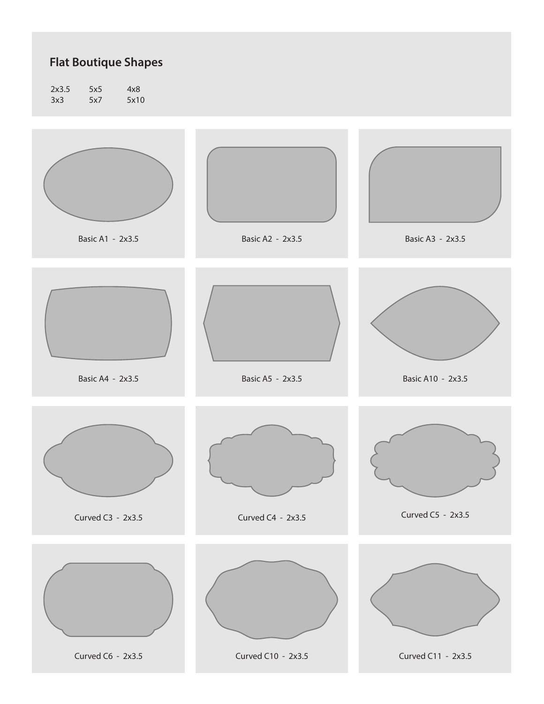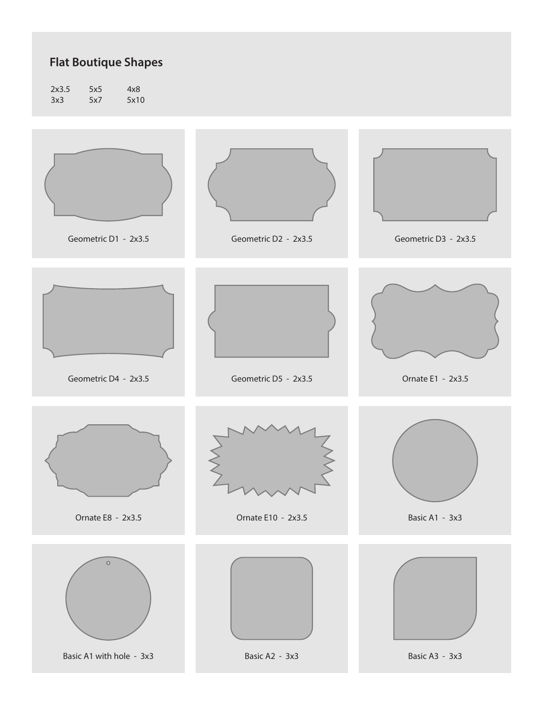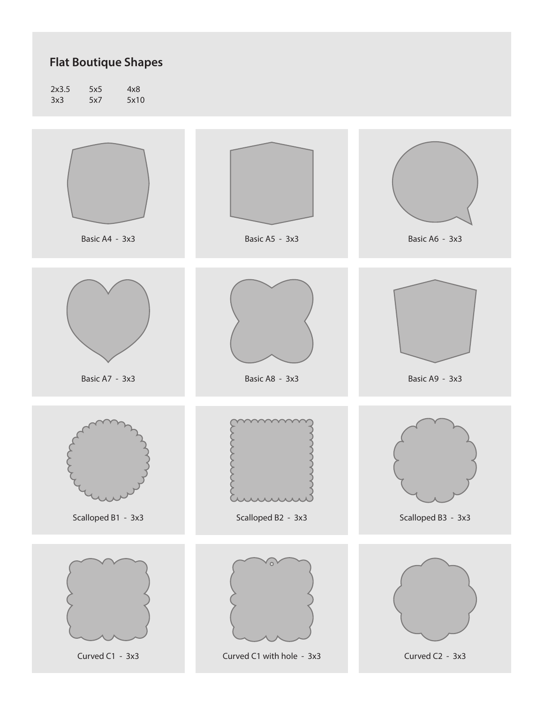| 2x3.5 | 5x5 | 4x8  |
|-------|-----|------|
| 3x3   | 5x7 | 5x10 |

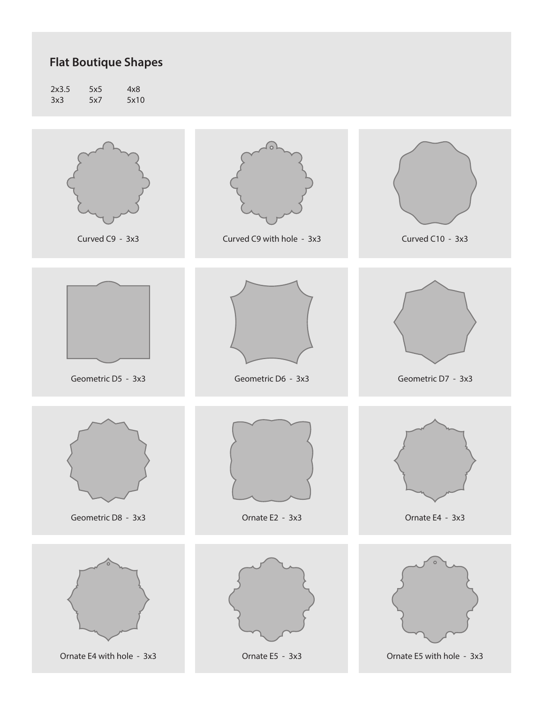| 2x3.5 | 5x5 | 4x8  |
|-------|-----|------|
| 3x3   | 5x7 | 5x10 |

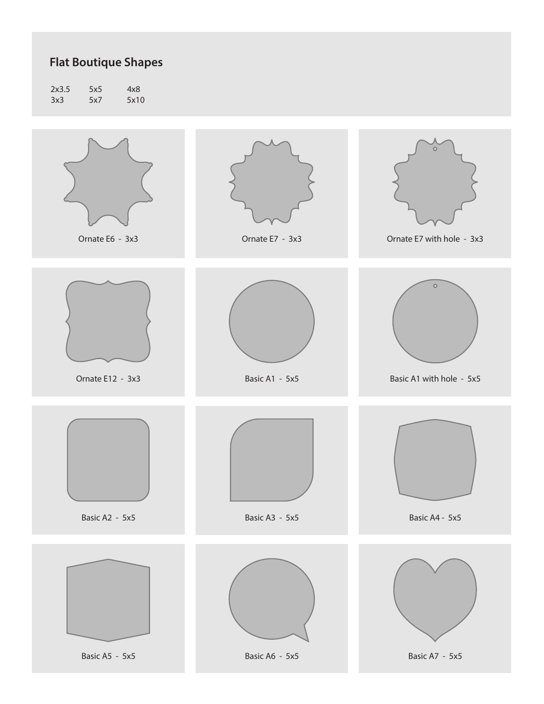| 2x3.5 | 5x5 | 4x8  |
|-------|-----|------|
| 3x3   | 5x7 | 5x10 |

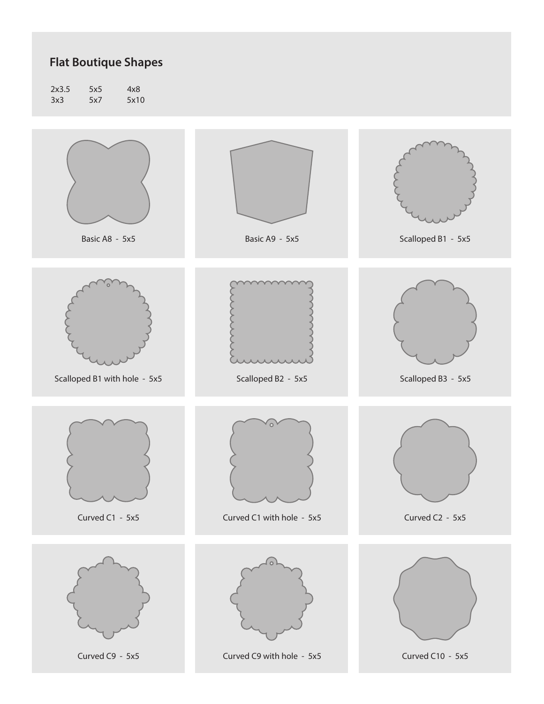| 2x3.5 | 5x5 | 4x8  |
|-------|-----|------|
| 3x3   | 5x7 | 5x10 |

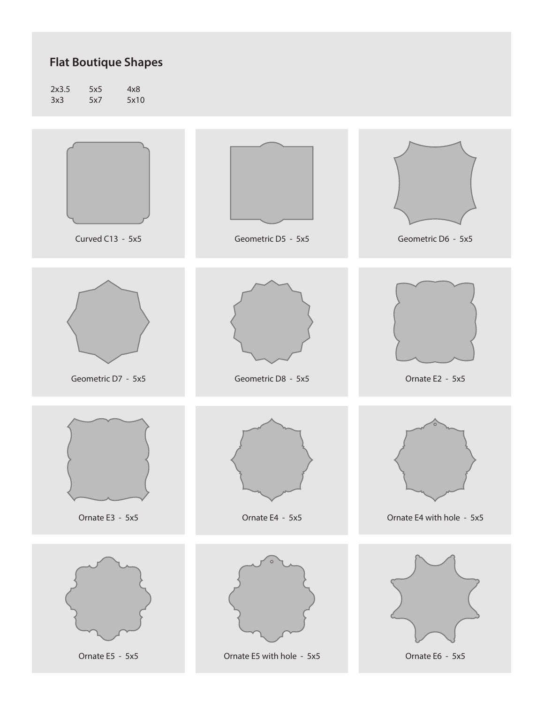2x3.5 3x3 5x5 5x7 4x8 5x10

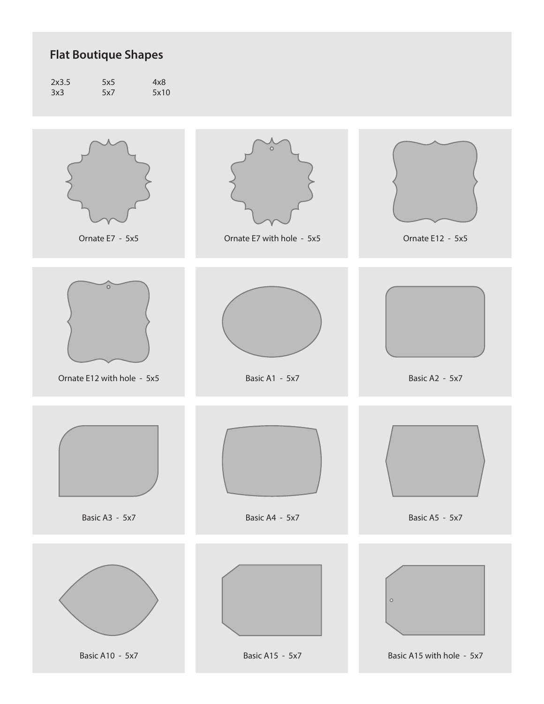| 2x3.5 | 5x5 | 4x8  |
|-------|-----|------|
| 3x3   | 5x7 | 5x10 |

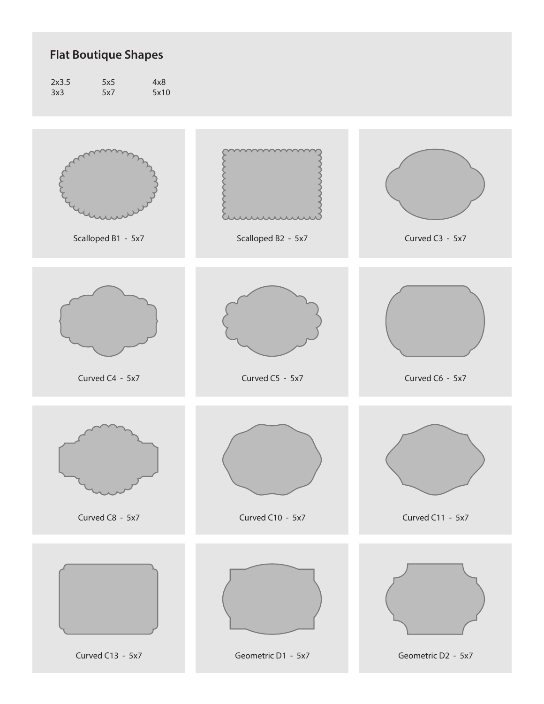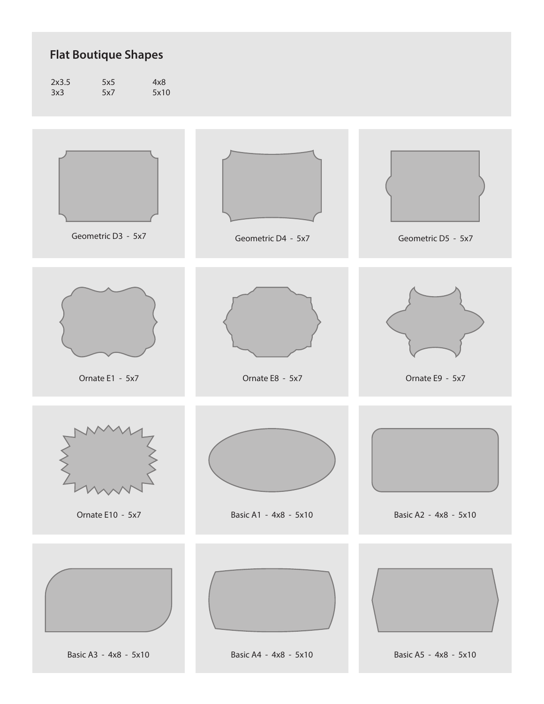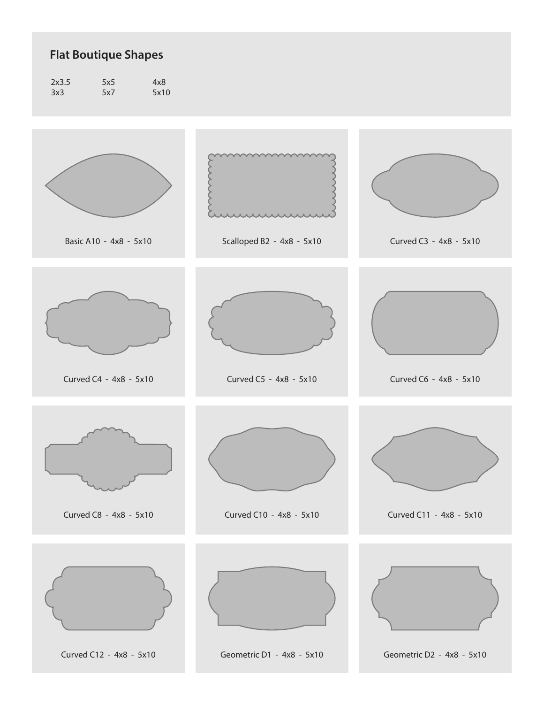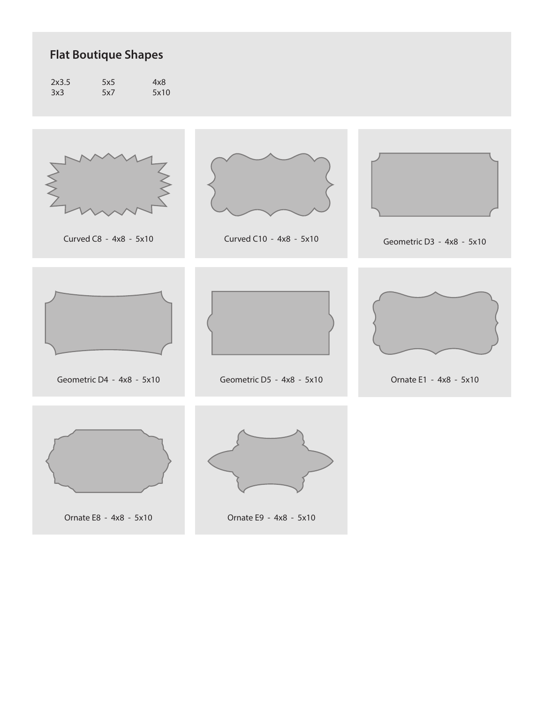| 2x3.5 | 5x5 | 4x8  |
|-------|-----|------|
| 3x3   | 5x7 | 5x10 |





Curved C8 - 4x8 - 5x10 Curved C10 - 4x8 - 5x10



Geometric D3 - 4x8 - 5x10





Geometric D4 - 4x8 - 5x10 Geometric D5 - 4x8 - 5x10



Ornate E1 - 4x8 - 5x10





Ornate E8 - 4x8 - 5x10 Ornate E9 - 4x8 - 5x10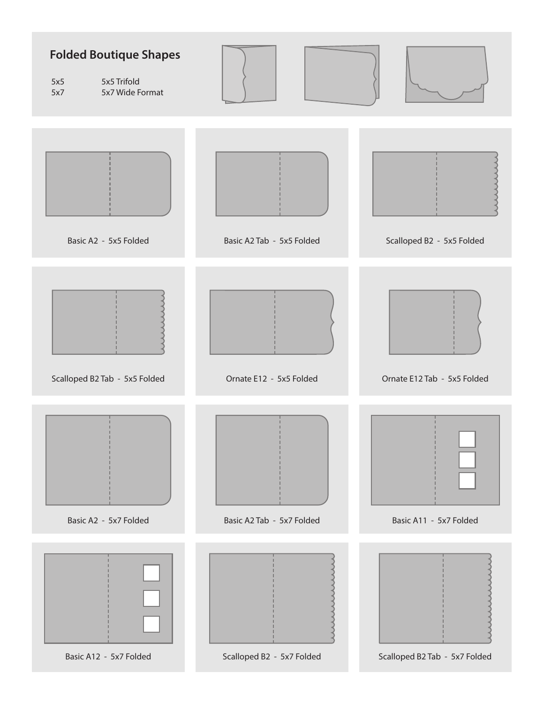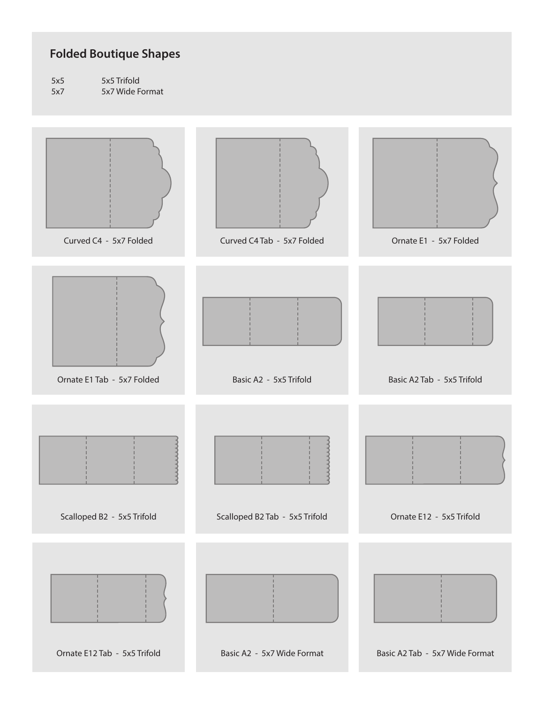#### **Folded Boutique Shapes**

5x5 5x7 5x5 Trifold 5x7 Wide Format